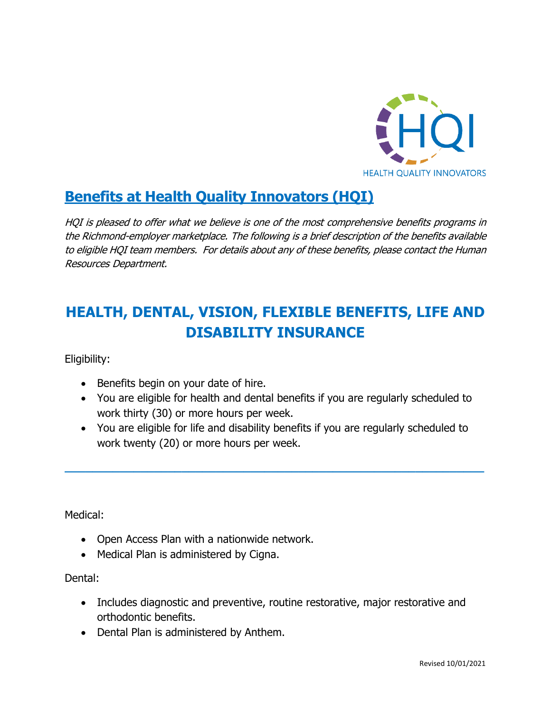

## **Benefits at Health Quality Innovators (HQI)**

HQI is pleased to offer what we believe is one of the most comprehensive benefits programs in the Richmond-employer marketplace. The following is a brief description of the benefits available to eligible HQI team members. For details about any of these benefits, please contact the Human Resources Department.

# **HEALTH, DENTAL, VISION, FLEXIBLE BENEFITS, LIFE AND DISABILITY INSURANCE**

Eligibility:

- Benefits begin on your date of hire.
- You are eligible for health and dental benefits if you are regularly scheduled to work thirty (30) or more hours per week.
- You are eligible for life and disability benefits if you are regularly scheduled to work twenty (20) or more hours per week.

**\_\_\_\_\_\_\_\_\_\_\_\_\_\_\_\_\_\_\_\_\_\_\_\_\_\_\_\_\_\_\_\_\_\_\_\_\_\_\_\_\_\_\_\_\_\_\_\_\_\_\_\_\_\_\_\_\_\_\_\_\_**

Medical:

- Open Access Plan with a nationwide network.
- Medical Plan is administered by Cigna.

Dental:

- Includes diagnostic and preventive, routine restorative, major restorative and orthodontic benefits.
- Dental Plan is administered by Anthem.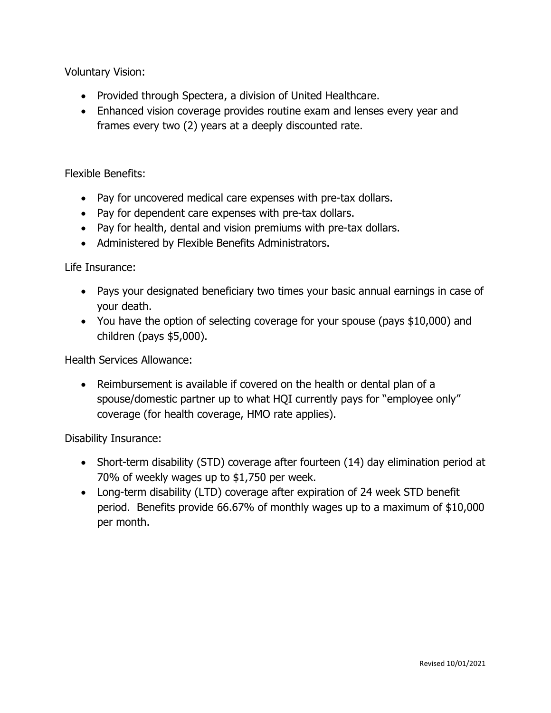Voluntary Vision:

- Provided through Spectera, a division of United Healthcare.
- Enhanced vision coverage provides routine exam and lenses every year and frames every two (2) years at a deeply discounted rate.

Flexible Benefits:

- Pay for uncovered medical care expenses with pre-tax dollars.
- Pay for dependent care expenses with pre-tax dollars.
- Pay for health, dental and vision premiums with pre-tax dollars.
- Administered by Flexible Benefits Administrators.

Life Insurance:

- Pays your designated beneficiary two times your basic annual earnings in case of your death.
- You have the option of selecting coverage for your spouse (pays \$10,000) and children (pays \$5,000).

Health Services Allowance:

• Reimbursement is available if covered on the health or dental plan of a spouse/domestic partner up to what HQI currently pays for "employee only" coverage (for health coverage, HMO rate applies).

Disability Insurance:

- Short-term disability (STD) coverage after fourteen (14) day elimination period at 70% of weekly wages up to \$1,750 per week.
- Long-term disability (LTD) coverage after expiration of 24 week STD benefit period. Benefits provide 66.67% of monthly wages up to a maximum of \$10,000 per month.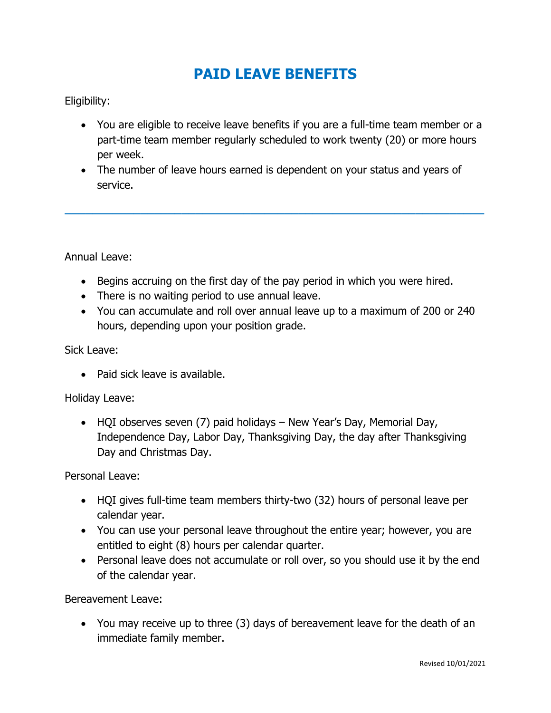### **PAID LEAVE BENEFITS**

#### Eligibility:

- You are eligible to receive leave benefits if you are a full-time team member or a part-time team member regularly scheduled to work twenty (20) or more hours per week.
- The number of leave hours earned is dependent on your status and years of service.

**\_\_\_\_\_\_\_\_\_\_\_\_\_\_\_\_\_\_\_\_\_\_\_\_\_\_\_\_\_\_\_\_\_\_\_\_\_\_\_\_\_\_\_\_\_\_\_\_\_\_\_\_\_\_\_\_\_\_\_\_\_**

Annual Leave:

- Begins accruing on the first day of the pay period in which you were hired.
- There is no waiting period to use annual leave.
- You can accumulate and roll over annual leave up to a maximum of 200 or 240 hours, depending upon your position grade.

Sick Leave:

• Paid sick leave is available.

Holiday Leave:

• HQI observes seven (7) paid holidays – New Year's Day, Memorial Day, Independence Day, Labor Day, Thanksgiving Day, the day after Thanksgiving Day and Christmas Day.

Personal Leave:

- HQI gives full-time team members thirty-two (32) hours of personal leave per calendar year.
- You can use your personal leave throughout the entire year; however, you are entitled to eight (8) hours per calendar quarter.
- Personal leave does not accumulate or roll over, so you should use it by the end of the calendar year.

Bereavement Leave:

• You may receive up to three (3) days of bereavement leave for the death of an immediate family member.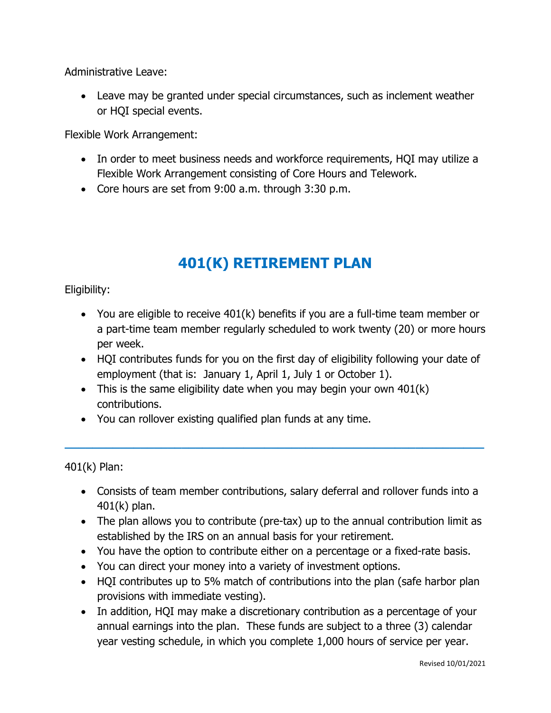Administrative Leave:

• Leave may be granted under special circumstances, such as inclement weather or HQI special events.

Flexible Work Arrangement:

- In order to meet business needs and workforce requirements, HQI may utilize a Flexible Work Arrangement consisting of Core Hours and Telework.
- Core hours are set from 9:00 a.m. through 3:30 p.m.

## **401(K) RETIREMENT PLAN**

Eligibility:

- You are eligible to receive 401(k) benefits if you are a full-time team member or a part-time team member regularly scheduled to work twenty (20) or more hours per week.
- HOI contributes funds for you on the first day of eligibility following your date of employment (that is: January 1, April 1, July 1 or October 1).
- This is the same eligibility date when you may begin your own  $401(k)$ contributions.
- You can rollover existing qualified plan funds at any time.

401(k) Plan:

• Consists of team member contributions, salary deferral and rollover funds into a 401(k) plan.

**\_\_\_\_\_\_\_\_\_\_\_\_\_\_\_\_\_\_\_\_\_\_\_\_\_\_\_\_\_\_\_\_\_\_\_\_\_\_\_\_\_\_\_\_\_\_\_\_\_\_\_\_\_\_\_\_\_\_\_\_\_**

- The plan allows you to contribute (pre-tax) up to the annual contribution limit as established by the IRS on an annual basis for your retirement.
- You have the option to contribute either on a percentage or a fixed-rate basis.
- You can direct your money into a variety of investment options.
- HQI contributes up to 5% match of contributions into the plan (safe harbor plan provisions with immediate vesting).
- In addition, HQI may make a discretionary contribution as a percentage of your annual earnings into the plan. These funds are subject to a three (3) calendar year vesting schedule, in which you complete 1,000 hours of service per year.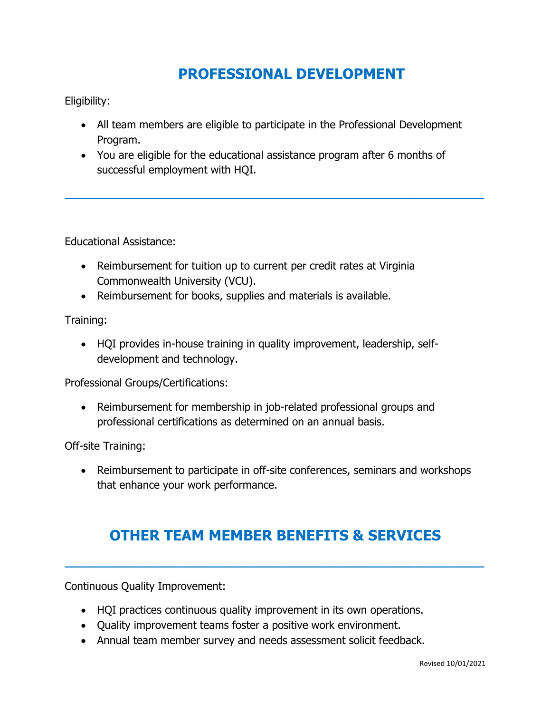## **PROFESSIONAL DEVELOPMENT**

Eligibility:

• All team members are eligible to participate in the Professional Development Program.

**\_\_\_\_\_\_\_\_\_\_\_\_\_\_\_\_\_\_\_\_\_\_\_\_\_\_\_\_\_\_\_\_\_\_\_\_\_\_\_\_\_\_\_\_\_\_\_\_\_\_\_\_\_\_\_\_\_\_\_\_\_**

• You are eligible for the educational assistance program after 6 months of successful employment with HQI.

Educational Assistance:

- Reimbursement for tuition up to current per credit rates at Virginia Commonwealth University (VCU).
- Reimbursement for books, supplies and materials is available.

Training:

• HQI provides in-house training in quality improvement, leadership, selfdevelopment and technology.

Professional Groups/Certifications:

• Reimbursement for membership in job-related professional groups and professional certifications as determined on an annual basis.

Off-site Training:

• Reimbursement to participate in off-site conferences, seminars and workshops that enhance your work performance.

## **OTHER TEAM MEMBER BENEFITS & SERVICES**

**\_\_\_\_\_\_\_\_\_\_\_\_\_\_\_\_\_\_\_\_\_\_\_\_\_\_\_\_\_\_\_\_\_\_\_\_\_\_\_\_\_\_\_\_\_\_\_\_\_\_\_\_\_\_\_\_\_\_\_\_\_**

Continuous Quality Improvement:

- HQI practices continuous quality improvement in its own operations.
- Quality improvement teams foster a positive work environment.
- Annual team member survey and needs assessment solicit feedback.